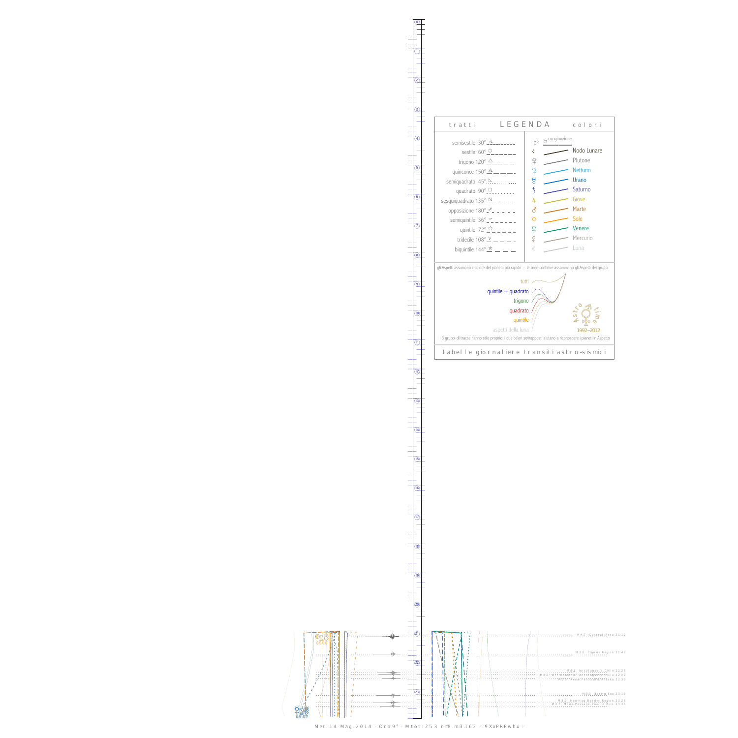0

1



13



Mer. 14 Mag. 2014 - Orb:9° - M.tot: 25.3 n#8 m:3.162 -: 9XxPRPwhx :-